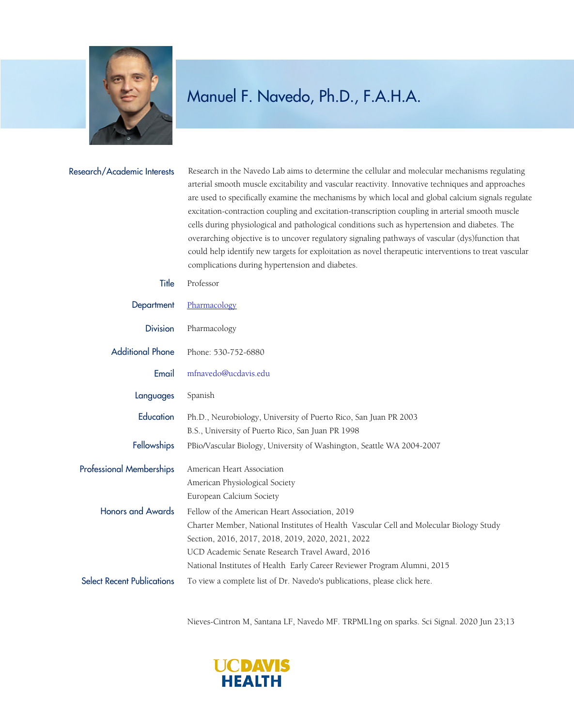

## Manuel F. Navedo, Ph.D., F.A.H.A.

| Research/Academic Interests       | Research in the Navedo Lab aims to determine the cellular and molecular mechanisms regulating<br>arterial smooth muscle excitability and vascular reactivity. Innovative techniques and approaches<br>are used to specifically examine the mechanisms by which local and global calcium signals regulate<br>excitation-contraction coupling and excitation-transcription coupling in arterial smooth muscle<br>cells during physiological and pathological conditions such as hypertension and diabetes. The<br>overarching objective is to uncover regulatory signaling pathways of vascular (dys)function that<br>could help identify new targets for exploitation as novel therapeutic interventions to treat vascular<br>complications during hypertension and diabetes. |
|-----------------------------------|------------------------------------------------------------------------------------------------------------------------------------------------------------------------------------------------------------------------------------------------------------------------------------------------------------------------------------------------------------------------------------------------------------------------------------------------------------------------------------------------------------------------------------------------------------------------------------------------------------------------------------------------------------------------------------------------------------------------------------------------------------------------------|
| Title                             | Professor                                                                                                                                                                                                                                                                                                                                                                                                                                                                                                                                                                                                                                                                                                                                                                    |
| Department                        | Pharmacology                                                                                                                                                                                                                                                                                                                                                                                                                                                                                                                                                                                                                                                                                                                                                                 |
| <b>Division</b>                   | Pharmacology                                                                                                                                                                                                                                                                                                                                                                                                                                                                                                                                                                                                                                                                                                                                                                 |
| <b>Additional Phone</b>           | Phone: 530-752-6880                                                                                                                                                                                                                                                                                                                                                                                                                                                                                                                                                                                                                                                                                                                                                          |
| Email                             | mfnavedo@ucdavis.edu                                                                                                                                                                                                                                                                                                                                                                                                                                                                                                                                                                                                                                                                                                                                                         |
| Languages                         | Spanish                                                                                                                                                                                                                                                                                                                                                                                                                                                                                                                                                                                                                                                                                                                                                                      |
| Education                         | Ph.D., Neurobiology, University of Puerto Rico, San Juan PR 2003<br>B.S., University of Puerto Rico, San Juan PR 1998                                                                                                                                                                                                                                                                                                                                                                                                                                                                                                                                                                                                                                                        |
| Fellowships                       | PBio/Vascular Biology, University of Washington, Seattle WA 2004-2007                                                                                                                                                                                                                                                                                                                                                                                                                                                                                                                                                                                                                                                                                                        |
| <b>Professional Memberships</b>   | American Heart Association<br>American Physiological Society<br>European Calcium Society                                                                                                                                                                                                                                                                                                                                                                                                                                                                                                                                                                                                                                                                                     |
| <b>Honors and Awards</b>          | Fellow of the American Heart Association, 2019<br>Charter Member, National Institutes of Health Vascular Cell and Molecular Biology Study<br>Section, 2016, 2017, 2018, 2019, 2020, 2021, 2022<br>UCD Academic Senate Research Travel Award, 2016<br>National Institutes of Health Early Career Reviewer Program Alumni, 2015                                                                                                                                                                                                                                                                                                                                                                                                                                                |
| <b>Select Recent Publications</b> | To view a complete list of Dr. Navedo's publications, please click here.                                                                                                                                                                                                                                                                                                                                                                                                                                                                                                                                                                                                                                                                                                     |

Nieves-Cintron M, Santana LF, Navedo MF. TRPML1ng on sparks. Sci Signal. 2020 Jun 23;13